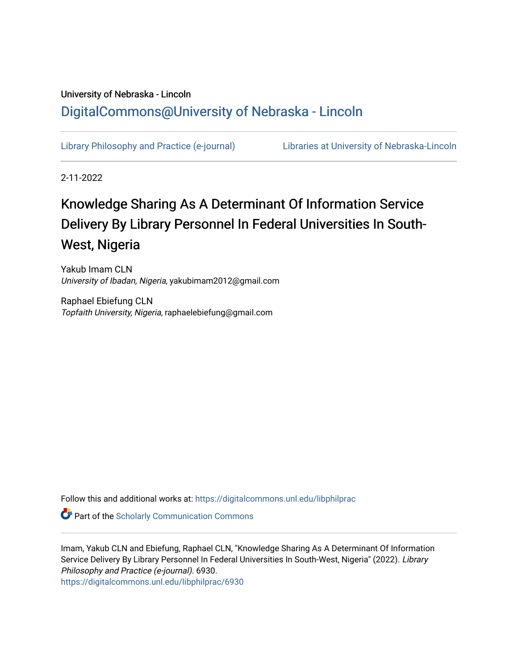# University of Nebraska - Lincoln [DigitalCommons@University of Nebraska - Lincoln](https://digitalcommons.unl.edu/)

[Library Philosophy and Practice \(e-journal\)](https://digitalcommons.unl.edu/libphilprac) [Libraries at University of Nebraska-Lincoln](https://digitalcommons.unl.edu/libraries) 

2-11-2022

# Knowledge Sharing As A Determinant Of Information Service Delivery By Library Personnel In Federal Universities In South-West, Nigeria

Yakub Imam CLN University of Ibadan, Nigeria, yakubimam2012@gmail.com

Raphael Ebiefung CLN Topfaith University, Nigeria, raphaelebiefung@gmail.com

Follow this and additional works at: [https://digitalcommons.unl.edu/libphilprac](https://digitalcommons.unl.edu/libphilprac?utm_source=digitalcommons.unl.edu%2Flibphilprac%2F6930&utm_medium=PDF&utm_campaign=PDFCoverPages) 

**Part of the Scholarly Communication Commons** 

Imam, Yakub CLN and Ebiefung, Raphael CLN, "Knowledge Sharing As A Determinant Of Information Service Delivery By Library Personnel In Federal Universities In South-West, Nigeria" (2022). Library Philosophy and Practice (e-journal). 6930. [https://digitalcommons.unl.edu/libphilprac/6930](https://digitalcommons.unl.edu/libphilprac/6930?utm_source=digitalcommons.unl.edu%2Flibphilprac%2F6930&utm_medium=PDF&utm_campaign=PDFCoverPages)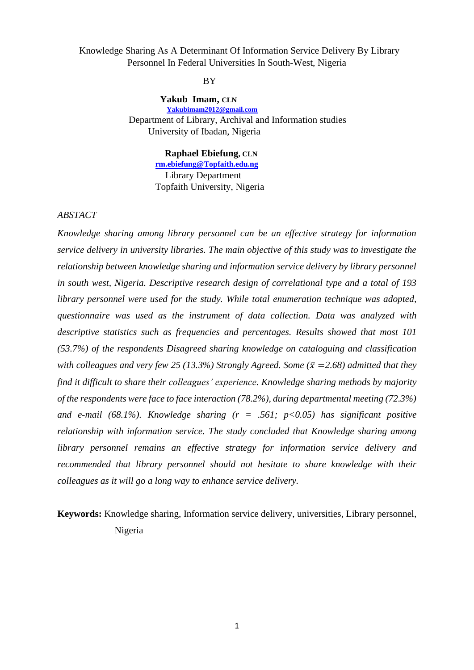Knowledge Sharing As A Determinant Of Information Service Delivery By Library Personnel In Federal Universities In South-West, Nigeria

#### **BY**

 **Yakub Imam, CLN [Yakubimam2012@gmail.com](mailto:Yakubimam2012@gmail.com)** Department of Library, Archival and Information studies University of Ibadan, Nigeria

#### **Raphael Ebiefung, CLN**

 **[rm.ebiefung@Topfaith.edu.ng](mailto:rm.ebiefung@Topfaith.edu.ng)** Library Department Topfaith University, Nigeria

# *ABSTACT*

*Knowledge sharing among library personnel can be an effective strategy for information service delivery in university libraries. The main objective of this study was to investigate the relationship between knowledge sharing and information service delivery by library personnel in south west, Nigeria. Descriptive research design of correlational type and a total of 193 library personnel were used for the study. While total enumeration technique was adopted, questionnaire was used as the instrument of data collection. Data was analyzed with descriptive statistics such as frequencies and percentages. Results showed that most 101 (53.7%) of the respondents Disagreed sharing knowledge on cataloguing and classification with colleagues and very few 25 (13.3%) Strongly Agreed. Some (* $\bar{x}$  *=2.68) admitted that they find it difficult to share their colleagues' experience. Knowledge sharing methods by majority of the respondents were face to face interaction (78.2%), during departmental meeting (72.3%) and e-mail (68.1%). Knowledge sharing (r = .561; p<0.05) has significant positive relationship with information service. The study concluded that Knowledge sharing among library personnel remains an effective strategy for information service delivery and recommended that library personnel should not hesitate to share knowledge with their colleagues as it will go a long way to enhance service delivery.*

**Keywords:** Knowledge sharing, Information service delivery, universities, Library personnel, Nigeria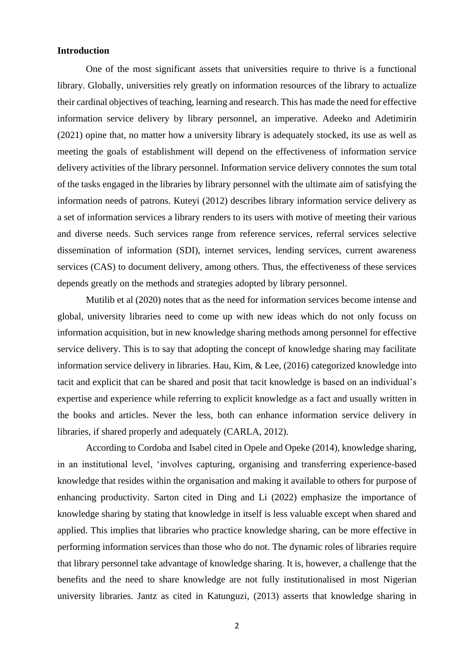# **Introduction**

One of the most significant assets that universities require to thrive is a functional library. Globally, universities rely greatly on information resources of the library to actualize their cardinal objectives of teaching, learning and research. This has made the need for effective information service delivery by library personnel, an imperative. Adeeko and Adetimirin (2021) opine that, no matter how a university library is adequately stocked, its use as well as meeting the goals of establishment will depend on the effectiveness of information service delivery activities of the library personnel. Information service delivery connotes the sum total of the tasks engaged in the libraries by library personnel with the ultimate aim of satisfying the information needs of patrons. Kuteyi (2012) describes library information service delivery as a set of information services a library renders to its users with motive of meeting their various and diverse needs. Such services range from reference services, referral services selective dissemination of information (SDI), internet services, lending services, current awareness services (CAS) to document delivery, among others. Thus, the effectiveness of these services depends greatly on the methods and strategies adopted by library personnel.

Mutilib et al (2020) notes that as the need for information services become intense and global, university libraries need to come up with new ideas which do not only focuss on information acquisition, but in new knowledge sharing methods among personnel for effective service delivery. This is to say that adopting the concept of knowledge sharing may facilitate information service delivery in libraries. Hau, Kim, & Lee, (2016) categorized knowledge into tacit and explicit that can be shared and posit that tacit knowledge is based on an individual's expertise and experience while referring to explicit knowledge as a fact and usually written in the books and articles. Never the less, both can enhance information service delivery in libraries, if shared properly and adequately (CARLA, 2012).

According to Cordoba and Isabel cited in Opele and Opeke (2014), knowledge sharing, in an institutional level, 'involves capturing, organising and transferring experience-based knowledge that resides within the organisation and making it available to others for purpose of enhancing productivity. Sarton cited in Ding and Li (2022) emphasize the importance of knowledge sharing by stating that knowledge in itself is less valuable except when shared and applied. This implies that libraries who practice knowledge sharing, can be more effective in performing information services than those who do not. The dynamic roles of libraries require that library personnel take advantage of knowledge sharing. It is, however, a challenge that the benefits and the need to share knowledge are not fully institutionalised in most Nigerian university libraries. Jantz as cited in Katunguzi, (2013) asserts that knowledge sharing in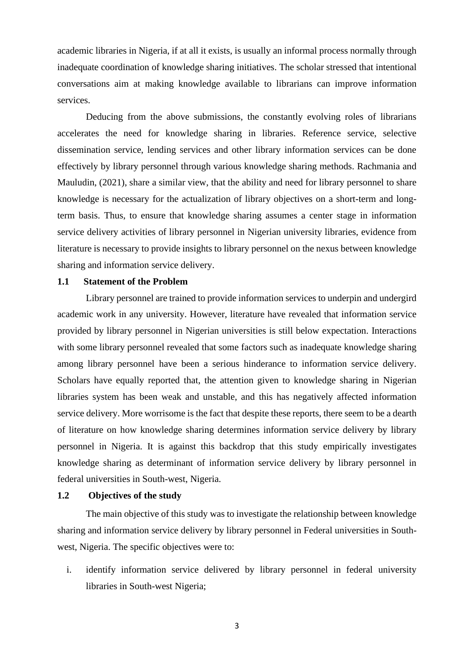academic libraries in Nigeria, if at all it exists, is usually an informal process normally through inadequate coordination of knowledge sharing initiatives. The scholar stressed that intentional conversations aim at making knowledge available to librarians can improve information services.

Deducing from the above submissions, the constantly evolving roles of librarians accelerates the need for knowledge sharing in libraries. Reference service, selective dissemination service, lending services and other library information services can be done effectively by library personnel through various knowledge sharing methods. Rachmania and Mauludin, (2021), share a similar view, that the ability and need for library personnel to share knowledge is necessary for the actualization of library objectives on a short-term and longterm basis. Thus, to ensure that knowledge sharing assumes a center stage in information service delivery activities of library personnel in Nigerian university libraries, evidence from literature is necessary to provide insights to library personnel on the nexus between knowledge sharing and information service delivery.

#### **1.1 Statement of the Problem**

Library personnel are trained to provide information services to underpin and undergird academic work in any university. However, literature have revealed that information service provided by library personnel in Nigerian universities is still below expectation. Interactions with some library personnel revealed that some factors such as inadequate knowledge sharing among library personnel have been a serious hinderance to information service delivery. Scholars have equally reported that, the attention given to knowledge sharing in Nigerian libraries system has been weak and unstable, and this has negatively affected information service delivery. More worrisome is the fact that despite these reports, there seem to be a dearth of literature on how knowledge sharing determines information service delivery by library personnel in Nigeria. It is against this backdrop that this study empirically investigates knowledge sharing as determinant of information service delivery by library personnel in federal universities in South-west, Nigeria.

#### **1.2 Objectives of the study**

The main objective of this study was to investigate the relationship between knowledge sharing and information service delivery by library personnel in Federal universities in Southwest, Nigeria. The specific objectives were to:

i. identify information service delivered by library personnel in federal university libraries in South-west Nigeria;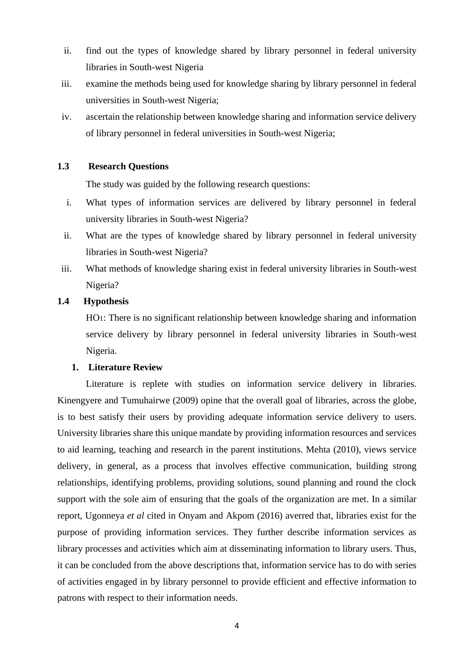- ii. find out the types of knowledge shared by library personnel in federal university libraries in South-west Nigeria
- iii. examine the methods being used for knowledge sharing by library personnel in federal universities in South-west Nigeria;
- iv. ascertain the relationship between knowledge sharing and information service delivery of library personnel in federal universities in South-west Nigeria;

## **1.3 Research Questions**

The study was guided by the following research questions:

- i. What types of information services are delivered by library personnel in federal university libraries in South-west Nigeria?
- ii. What are the types of knowledge shared by library personnel in federal university libraries in South-west Nigeria?
- iii. What methods of knowledge sharing exist in federal university libraries in South-west Nigeria?

# **1.4 Hypothesis**

HO1: There is no significant relationship between knowledge sharing and information service delivery by library personnel in federal university libraries in South-west Nigeria.

#### **1. Literature Review**

Literature is replete with studies on information service delivery in libraries. Kinengyere and Tumuhairwe (2009) opine that the overall goal of libraries, across the globe, is to best satisfy their users by providing adequate information service delivery to users. University libraries share this unique mandate by providing information resources and services to aid learning, teaching and research in the parent institutions. Mehta (2010), views service delivery, in general, as a process that involves effective communication, building strong relationships, identifying problems, providing solutions, sound planning and round the clock support with the sole aim of ensuring that the goals of the organization are met. In a similar report, Ugonneya *et al* cited in Onyam and Akpom (2016) averred that, libraries exist for the purpose of providing information services. They further describe information services as library processes and activities which aim at disseminating information to library users. Thus, it can be concluded from the above descriptions that, information service has to do with series of activities engaged in by library personnel to provide efficient and effective information to patrons with respect to their information needs.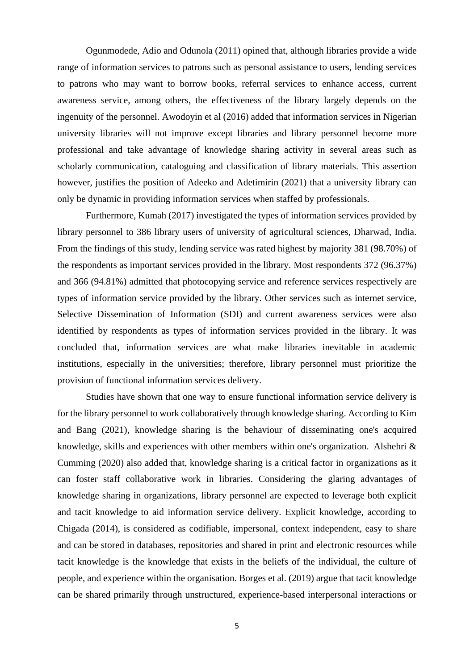Ogunmodede, Adio and Odunola (2011) opined that, although libraries provide a wide range of information services to patrons such as personal assistance to users, lending services to patrons who may want to borrow books, referral services to enhance access, current awareness service, among others, the effectiveness of the library largely depends on the ingenuity of the personnel. Awodoyin et al (2016) added that information services in Nigerian university libraries will not improve except libraries and library personnel become more professional and take advantage of knowledge sharing activity in several areas such as scholarly communication, cataloguing and classification of library materials. This assertion however, justifies the position of Adeeko and Adetimirin (2021) that a university library can only be dynamic in providing information services when staffed by professionals.

Furthermore, Kumah (2017) investigated the types of information services provided by library personnel to 386 library users of university of agricultural sciences, Dharwad, India. From the findings of this study, lending service was rated highest by majority 381 (98.70%) of the respondents as important services provided in the library. Most respondents 372 (96.37%) and 366 (94.81%) admitted that photocopying service and reference services respectively are types of information service provided by the library. Other services such as internet service, Selective Dissemination of Information (SDI) and current awareness services were also identified by respondents as types of information services provided in the library. It was concluded that, information services are what make libraries inevitable in academic institutions, especially in the universities; therefore, library personnel must prioritize the provision of functional information services delivery.

Studies have shown that one way to ensure functional information service delivery is for the library personnel to work collaboratively through knowledge sharing. According to Kim and Bang (2021), knowledge sharing is the behaviour of disseminating one's acquired knowledge, skills and experiences with other members within one's organization. Alshehri & Cumming (2020) also added that, knowledge sharing is a critical factor in organizations as it can foster staff collaborative work in libraries. Considering the glaring advantages of knowledge sharing in organizations, library personnel are expected to leverage both explicit and tacit knowledge to aid information service delivery. Explicit knowledge, according to Chigada (2014), is considered as codifiable, impersonal, context independent, easy to share and can be stored in databases, repositories and shared in print and electronic resources while tacit knowledge is the knowledge that exists in the beliefs of the individual, the culture of people, and experience within the organisation. Borges et al. (2019) argue that tacit knowledge can be shared primarily through unstructured, experience-based interpersonal interactions or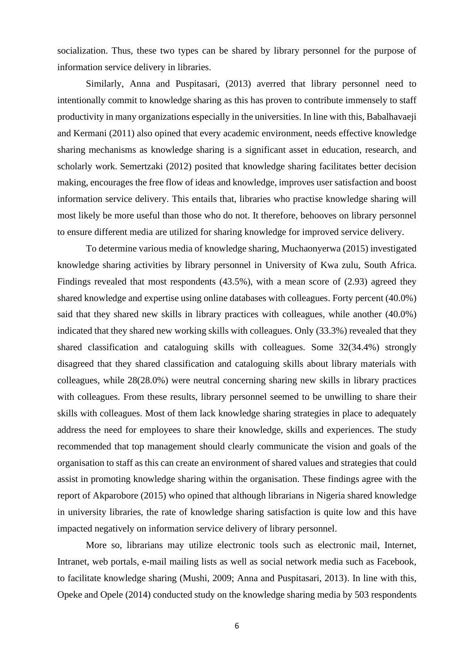socialization. Thus, these two types can be shared by library personnel for the purpose of information service delivery in libraries.

Similarly, Anna and Puspitasari, (2013) averred that library personnel need to intentionally commit to knowledge sharing as this has proven to contribute immensely to staff productivity in many organizations especially in the universities. In line with this, Babalhavaeji and Kermani (2011) also opined that every academic environment, needs effective knowledge sharing mechanisms as knowledge sharing is a significant asset in education, research, and scholarly work. Semertzaki (2012) posited that knowledge sharing facilitates better decision making, encourages the free flow of ideas and knowledge, improves user satisfaction and boost information service delivery. This entails that, libraries who practise knowledge sharing will most likely be more useful than those who do not. It therefore, behooves on library personnel to ensure different media are utilized for sharing knowledge for improved service delivery.

To determine various media of knowledge sharing, Muchaonyerwa (2015) investigated knowledge sharing activities by library personnel in University of Kwa zulu, South Africa. Findings revealed that most respondents (43.5%), with a mean score of (2.93) agreed they shared knowledge and expertise using online databases with colleagues. Forty percent (40.0%) said that they shared new skills in library practices with colleagues, while another (40.0%) indicated that they shared new working skills with colleagues. Only (33.3%) revealed that they shared classification and cataloguing skills with colleagues. Some 32(34.4%) strongly disagreed that they shared classification and cataloguing skills about library materials with colleagues, while 28(28.0%) were neutral concerning sharing new skills in library practices with colleagues. From these results, library personnel seemed to be unwilling to share their skills with colleagues. Most of them lack knowledge sharing strategies in place to adequately address the need for employees to share their knowledge, skills and experiences. The study recommended that top management should clearly communicate the vision and goals of the organisation to staff as this can create an environment of shared values and strategies that could assist in promoting knowledge sharing within the organisation. These findings agree with the report of Akparobore (2015) who opined that although librarians in Nigeria shared knowledge in university libraries, the rate of knowledge sharing satisfaction is quite low and this have impacted negatively on information service delivery of library personnel.

More so, librarians may utilize electronic tools such as electronic mail, Internet, Intranet, web portals, e-mail mailing lists as well as social network media such as Facebook, to facilitate knowledge sharing (Mushi, 2009; Anna and Puspitasari, 2013). In line with this, Opeke and Opele (2014) conducted study on the knowledge sharing media by 503 respondents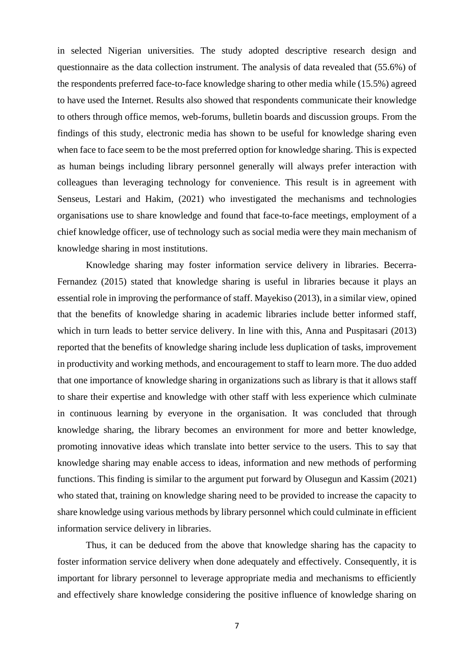in selected Nigerian universities. The study adopted descriptive research design and questionnaire as the data collection instrument. The analysis of data revealed that (55.6%) of the respondents preferred face-to-face knowledge sharing to other media while (15.5%) agreed to have used the Internet. Results also showed that respondents communicate their knowledge to others through office memos, web-forums, bulletin boards and discussion groups. From the findings of this study, electronic media has shown to be useful for knowledge sharing even when face to face seem to be the most preferred option for knowledge sharing. This is expected as human beings including library personnel generally will always prefer interaction with colleagues than leveraging technology for convenience. This result is in agreement with Senseus, Lestari and Hakim, (2021) who investigated the mechanisms and technologies organisations use to share knowledge and found that face-to-face meetings, employment of a chief knowledge officer, use of technology such as social media were they main mechanism of knowledge sharing in most institutions.

Knowledge sharing may foster information service delivery in libraries. Becerra-Fernandez (2015) stated that knowledge sharing is useful in libraries because it plays an essential role in improving the performance of staff. Mayekiso (2013), in a similar view, opined that the benefits of knowledge sharing in academic libraries include better informed staff, which in turn leads to better service delivery. In line with this, Anna and Puspitasari (2013) reported that the benefits of knowledge sharing include less duplication of tasks, improvement in productivity and working methods, and encouragement to staff to learn more. The duo added that one importance of knowledge sharing in organizations such as library is that it allows staff to share their expertise and knowledge with other staff with less experience which culminate in continuous learning by everyone in the organisation. It was concluded that through knowledge sharing, the library becomes an environment for more and better knowledge, promoting innovative ideas which translate into better service to the users. This to say that knowledge sharing may enable access to ideas, information and new methods of performing functions. This finding is similar to the argument put forward by Olusegun and Kassim (2021) who stated that, training on knowledge sharing need to be provided to increase the capacity to share knowledge using various methods by library personnel which could culminate in efficient information service delivery in libraries.

Thus, it can be deduced from the above that knowledge sharing has the capacity to foster information service delivery when done adequately and effectively. Consequently, it is important for library personnel to leverage appropriate media and mechanisms to efficiently and effectively share knowledge considering the positive influence of knowledge sharing on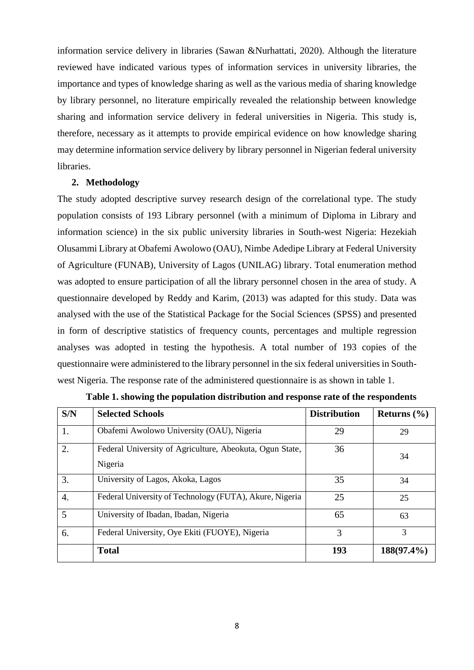information service delivery in libraries (Sawan &Nurhattati, 2020). Although the literature reviewed have indicated various types of information services in university libraries, the importance and types of knowledge sharing as well as the various media of sharing knowledge by library personnel, no literature empirically revealed the relationship between knowledge sharing and information service delivery in federal universities in Nigeria. This study is, therefore, necessary as it attempts to provide empirical evidence on how knowledge sharing may determine information service delivery by library personnel in Nigerian federal university libraries.

#### **2. Methodology**

The study adopted descriptive survey research design of the correlational type. The study population consists of 193 Library personnel (with a minimum of Diploma in Library and information science) in the six public university libraries in South-west Nigeria: Hezekiah Olusammi Library at Obafemi Awolowo (OAU), Nimbe Adedipe Library at Federal University of Agriculture (FUNAB), University of Lagos (UNILAG) library. Total enumeration method was adopted to ensure participation of all the library personnel chosen in the area of study. A questionnaire developed by Reddy and Karim, (2013) was adapted for this study. Data was analysed with the use of the Statistical Package for the Social Sciences (SPSS) and presented in form of descriptive statistics of frequency counts, percentages and multiple regression analyses was adopted in testing the hypothesis. A total number of 193 copies of the questionnaire were administered to the library personnel in the six federal universities in Southwest Nigeria. The response rate of the administered questionnaire is as shown in table 1.

| S/N              | <b>Selected Schools</b>                                             | <b>Distribution</b> | Returns $(\% )$ |
|------------------|---------------------------------------------------------------------|---------------------|-----------------|
| 1.               | Obafemi Awolowo University (OAU), Nigeria                           | 29                  | 29              |
| 2.               | Federal University of Agriculture, Abeokuta, Ogun State,<br>Nigeria | 36                  | 34              |
| 3.               | University of Lagos, Akoka, Lagos                                   | 35                  | 34              |
| $\overline{4}$ . | Federal University of Technology (FUTA), Akure, Nigeria             | 25                  | 25              |
| 5                | University of Ibadan, Ibadan, Nigeria                               | 65                  | 63              |
| 6.               | Federal University, Oye Ekiti (FUOYE), Nigeria                      | 3                   | 3               |
|                  | <b>Total</b>                                                        | 193                 | 188(97.4%)      |

**Table 1. showing the population distribution and response rate of the respondents**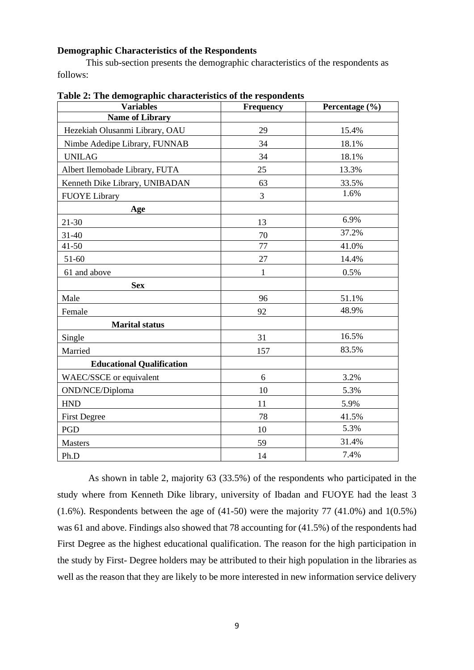# **Demographic Characteristics of the Respondents**

This sub-section presents the demographic characteristics of the respondents as follows:

| <b>Variables</b>                 | Frequency       | Percentage (%) |
|----------------------------------|-----------------|----------------|
| <b>Name of Library</b>           |                 |                |
| Hezekiah Olusanmi Library, OAU   | 29              | 15.4%          |
| Nimbe Adedipe Library, FUNNAB    | 34              | 18.1%          |
| <b>UNILAG</b>                    | 34              | 18.1%          |
| Albert Ilemobade Library, FUTA   | 25              | 13.3%          |
| Kenneth Dike Library, UNIBADAN   | 63              | 33.5%          |
| <b>FUOYE</b> Library             | $\overline{3}$  | 1.6%           |
| Age                              |                 |                |
| $21 - 30$                        | 13              | 6.9%           |
| 31-40                            | 70              | 37.2%          |
| $41 - 50$                        | $\overline{77}$ | 41.0%          |
| 51-60                            | 27              | 14.4%          |
| 61 and above                     | 1               | 0.5%           |
| <b>Sex</b>                       |                 |                |
| Male                             | 96              | 51.1%          |
| Female                           | 92              | 48.9%          |
| <b>Marital status</b>            |                 |                |
| Single                           | 31              | 16.5%          |
| Married                          | 157             | 83.5%          |
| <b>Educational Qualification</b> |                 |                |
| WAEC/SSCE or equivalent          | 6               | 3.2%           |
| OND/NCE/Diploma                  | 10              | 5.3%           |
| <b>HND</b>                       | 11              | 5.9%           |
| <b>First Degree</b>              | 78              | 41.5%          |
| PGD                              | 10              | 5.3%           |
| <b>Masters</b>                   | 59              | 31.4%          |
| Ph.D                             | 14              | 7.4%           |

 As shown in table 2, majority 63 (33.5%) of the respondents who participated in the study where from Kenneth Dike library, university of Ibadan and FUOYE had the least 3  $(1.6\%)$ . Respondents between the age of  $(41-50)$  were the majority 77  $(41.0\%)$  and  $1(0.5\%)$ was 61 and above. Findings also showed that 78 accounting for (41.5%) of the respondents had First Degree as the highest educational qualification. The reason for the high participation in the study by First- Degree holders may be attributed to their high population in the libraries as well as the reason that they are likely to be more interested in new information service delivery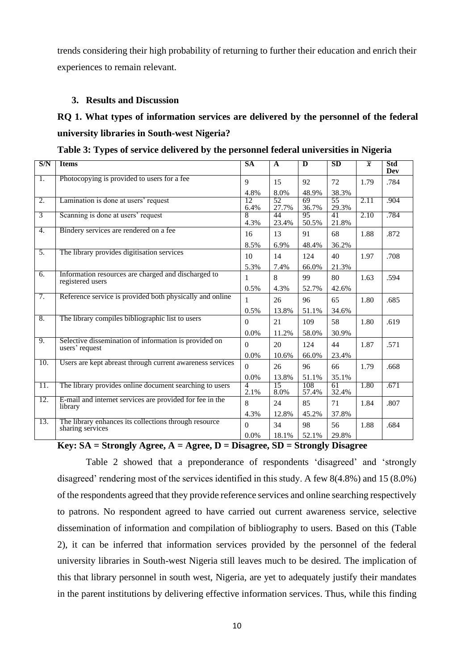trends considering their high probability of returning to further their education and enrich their experiences to remain relevant.

# **3. Results and Discussion**

# **RQ 1. What types of information services are delivered by the personnel of the federal university libraries in South-west Nigeria?**

| S/N            | <b>Items</b>                                                              | <b>SA</b>   | $\overline{A}$          | $\bf{D}$     | SD          | $\overline{x}$ | Std<br>Dev |
|----------------|---------------------------------------------------------------------------|-------------|-------------------------|--------------|-------------|----------------|------------|
| Τ.             | Photocopying is provided to users for a fee                               | 9           | 15                      | 92           | 72          | 1.79           | .784       |
| 2.             | Lamination is done at users' request                                      | 4.8%<br>12. | 8.0%<br>$\overline{52}$ | 48.9%<br>69  | 38.3%<br>55 | 2.11           | .904       |
|                |                                                                           | 6.4%        | 27.7%                   | 36.7%        | 29.3%       |                |            |
| $\overline{3}$ | Scanning is done at users' request                                        | 8<br>4.3%   | 44<br>23.4%             | 95<br>50.5%  | 41<br>21.8% | 2.10           | .784       |
| 4.             | Bindery services are rendered on a fee                                    | 16          | 13                      | 91           | 68          | 1.88           | .872       |
|                |                                                                           | 8.5%        | 6.9%                    | 48.4%        | 36.2%       |                |            |
| 5.             | The library provides digitisation services                                | 10          | 14                      | 124          | 40          | 1.97           | .708       |
|                |                                                                           | 5.3%        | 7.4%                    | 66.0%        | 21.3%       |                |            |
| 6.             | Information resources are charged and discharged to<br>registered users   | 1           | 8                       | 99           | 80          | 1.63           | .594       |
|                |                                                                           | 0.5%        | 4.3%                    | 52.7%        | 42.6%       |                |            |
| 7.             | Reference service is provided both physically and online                  | 1           | 26                      | 96           | 65          | 1.80           | .685       |
|                |                                                                           | 0.5%        | 13.8%                   | 51.1%        | 34.6%       |                |            |
| 8.             | The library compiles bibliographic list to users                          | $\Omega$    | 21                      | 109          | 58          | 1.80           | .619       |
|                |                                                                           | 0.0%        | 11.2%                   | 58.0%        | 30.9%       |                |            |
| 9.             | Selective dissemination of information is provided on<br>users' request   | $\Omega$    | 20                      | 124          | 44          | 1.87           | .571       |
|                |                                                                           | 0.0%        | 10.6%                   | 66.0%        | 23.4%       |                |            |
| 10.            | Users are kept abreast through current awareness services                 | $\Omega$    | 26                      | 96           | 66          | 1.79           | .668       |
|                |                                                                           | 0.0%        | 13.8%                   | 51.1%        | 35.1%       |                |            |
| 11.            | The library provides online document searching to users                   | 4<br>2.1%   | 15<br>8.0%              | 108<br>57.4% | 61<br>32.4% | 1.80           | .671       |
| 12.            | E-mail and internet services are provided for fee in the<br>library       | 8           | 24                      | 85           | 71          | 1.84           | .807       |
|                |                                                                           | 4.3%        | 12.8%                   | 45.2%        | 37.8%       |                |            |
| 13.            | The library enhances its collections through resource<br>sharing services | $\Omega$    | 34                      | 98           | 56          | 1.88           | .684       |
|                |                                                                           | 0.0%        | 18.1%                   | 52.1%        | 29.8%       |                |            |

**Table 3: Types of service delivered by the personnel federal universities in Nigeria**

**Key: SA = Strongly Agree, A = Agree, D = Disagree, SD = Strongly Disagree** 

Table 2 showed that a preponderance of respondents 'disagreed' and 'strongly disagreed' rendering most of the services identified in this study. A few 8(4.8%) and 15 (8.0%) of the respondents agreed that they provide reference services and online searching respectively to patrons. No respondent agreed to have carried out current awareness service, selective dissemination of information and compilation of bibliography to users. Based on this (Table 2), it can be inferred that information services provided by the personnel of the federal university libraries in South-west Nigeria still leaves much to be desired. The implication of this that library personnel in south west, Nigeria, are yet to adequately justify their mandates in the parent institutions by delivering effective information services. Thus, while this finding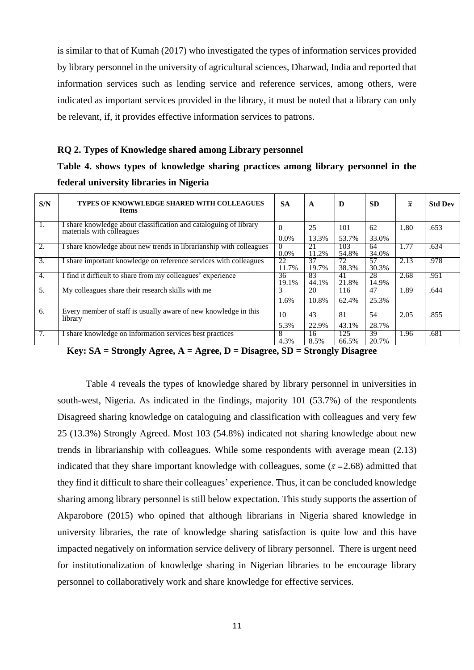is similar to that of Kumah (2017) who investigated the types of information services provided by library personnel in the university of agricultural sciences, Dharwad, India and reported that information services such as lending service and reference services, among others, were indicated as important services provided in the library, it must be noted that a library can only be relevant, if, it provides effective information services to patrons.

#### **RQ 2. Types of Knowledge shared among Library personnel**

**Table 4. shows types of knowledge sharing practices among library personnel in the federal university libraries in Nigeria**

| S/N              | TYPES OF KNOWWLEDGE SHARED WITH COLLEAGUES<br><b>Items</b>                                     | <b>SA</b>    | $\mathbf{A}$ | D            | <b>SD</b>   | $\overline{x}$ | <b>Std Dev</b> |
|------------------|------------------------------------------------------------------------------------------------|--------------|--------------|--------------|-------------|----------------|----------------|
| 1.               | I share knowledge about classification and cataloguing of library<br>materials with colleagues | $\Omega$     | 25           | 101          | 62          | 1.80           | .653           |
|                  |                                                                                                | $0.0\%$      | 13.3%        | 53.7%        | 33.0%       |                |                |
| $\overline{2}$ . | I share knowledge about new trends in librarianship with colleagues                            | 0<br>$0.0\%$ | 21<br>11.2%  | 103<br>54.8% | 64<br>34.0% | 1.77           | .634           |
| 3.               | I share important knowledge on reference services with colleagues                              | 22<br>11.7%  | 37<br>19.7%  | 72<br>38.3%  | 57<br>30.3% | 2.13           | .978           |
| 4.               | I find it difficult to share from my colleagues' experience                                    | 36<br>19.1%  | 83<br>44.1%  | 41<br>21.8%  | 28<br>14.9% | 2.68           | .951           |
| 5.               | My colleagues share their research skills with me                                              | 3            | 20           | 116          | 47          | 1.89           | .644           |
|                  |                                                                                                | 1.6%         | 10.8%        | 62.4%        | 25.3%       |                |                |
| 6.               | Every member of staff is usually aware of new knowledge in this<br>library                     | 10           | 43           | 81           | 54          | 2.05           | .855           |
|                  |                                                                                                | 5.3%         | 22.9%        | 43.1%        | 28.7%       |                |                |
| 7.               | I share knowledge on information services best practices                                       | 8<br>4.3%    | 16<br>8.5%   | 125<br>66.5% | 39<br>20.7% | 1.96           | .681           |

 **Key: SA = Strongly Agree, A = Agree, D = Disagree, SD = Strongly Disagree** 

Table 4 reveals the types of knowledge shared by library personnel in universities in south-west, Nigeria. As indicated in the findings, majority 101 (53.7%) of the respondents Disagreed sharing knowledge on cataloguing and classification with colleagues and very few 25 (13.3%) Strongly Agreed. Most 103 (54.8%) indicated not sharing knowledge about new trends in librarianship with colleagues. While some respondents with average mean (2.13) indicated that they share important knowledge with colleagues, some ( $\bar{x}$  =2.68) admitted that they find it difficult to share their colleagues' experience. Thus, it can be concluded knowledge sharing among library personnel is still below expectation. This study supports the assertion of Akparobore (2015) who opined that although librarians in Nigeria shared knowledge in university libraries, the rate of knowledge sharing satisfaction is quite low and this have impacted negatively on information service delivery of library personnel. There is urgent need for institutionalization of knowledge sharing in Nigerian libraries to be encourage library personnel to collaboratively work and share knowledge for effective services.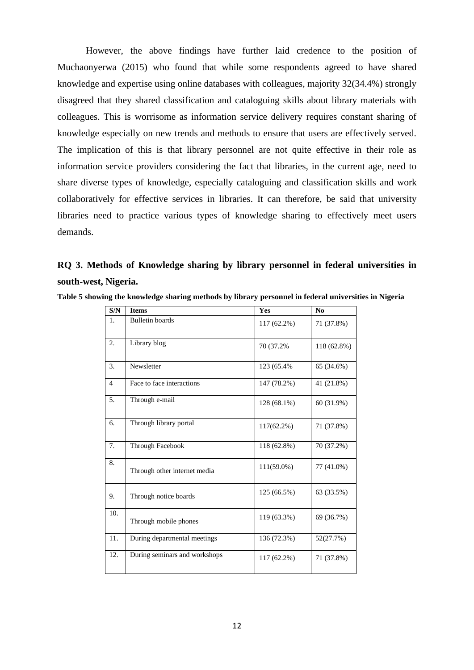However, the above findings have further laid credence to the position of Muchaonyerwa (2015) who found that while some respondents agreed to have shared knowledge and expertise using online databases with colleagues, majority 32(34.4%) strongly disagreed that they shared classification and cataloguing skills about library materials with colleagues. This is worrisome as information service delivery requires constant sharing of knowledge especially on new trends and methods to ensure that users are effectively served. The implication of this is that library personnel are not quite effective in their role as information service providers considering the fact that libraries, in the current age, need to share diverse types of knowledge, especially cataloguing and classification skills and work collaboratively for effective services in libraries. It can therefore, be said that university libraries need to practice various types of knowledge sharing to effectively meet users demands.

**RQ 3. Methods of Knowledge sharing by library personnel in federal universities in south-west, Nigeria.**

| S/N            | <b>Items</b>                  | Yes           | N <sub>0</sub> |
|----------------|-------------------------------|---------------|----------------|
| 1.             | <b>Bulletin</b> boards        | 117 (62.2%)   | 71 (37.8%)     |
| 2.             | Library blog                  | 70 (37.2%)    | 118 (62.8%)    |
| 3.             | Newsletter                    | 123 (65.4%)   | 65 (34.6%)     |
| $\overline{4}$ | Face to face interactions     | 147 (78.2%)   | 41 (21.8%)     |
| 5.             | Through e-mail                | 128 (68.1%)   | 60 (31.9%)     |
| 6.             | Through library portal        | 117(62.2%)    | 71 (37.8%)     |
| 7.             | Through Facebook              | 118 (62.8%)   | 70 (37.2%)     |
| 8.             | Through other internet media  | $111(59.0\%)$ | 77 (41.0%)     |
| 9.             | Through notice boards         | 125 (66.5%)   | 63 (33.5%)     |
| 10.            | Through mobile phones         | 119 (63.3%)   | 69 (36.7%)     |
| 11.            | During departmental meetings  | 136 (72.3%)   | 52(27.7%)      |
| 12.            | During seminars and workshops | 117 (62.2%)   | 71 (37.8%)     |

**Table 5 showing the knowledge sharing methods by library personnel in federal universities in Nigeria**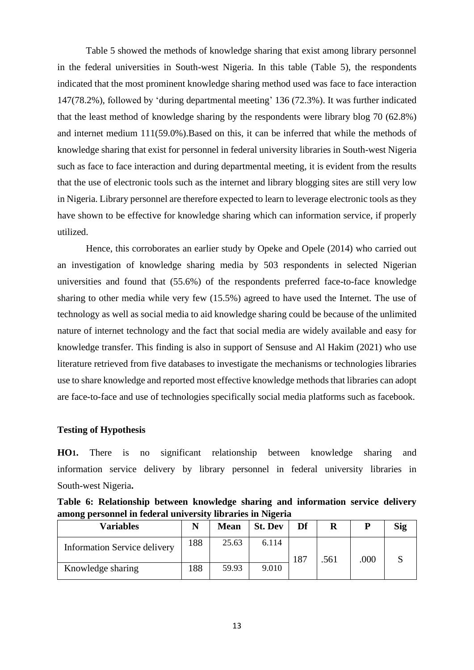Table 5 showed the methods of knowledge sharing that exist among library personnel in the federal universities in South-west Nigeria. In this table (Table 5), the respondents indicated that the most prominent knowledge sharing method used was face to face interaction 147(78.2%), followed by 'during departmental meeting' 136 (72.3%). It was further indicated that the least method of knowledge sharing by the respondents were library blog 70 (62.8%) and internet medium 111(59.0%).Based on this, it can be inferred that while the methods of knowledge sharing that exist for personnel in federal university libraries in South-west Nigeria such as face to face interaction and during departmental meeting, it is evident from the results that the use of electronic tools such as the internet and library blogging sites are still very low in Nigeria. Library personnel are therefore expected to learn to leverage electronic tools as they have shown to be effective for knowledge sharing which can information service, if properly utilized.

Hence, this corroborates an earlier study by Opeke and Opele (2014) who carried out an investigation of knowledge sharing media by 503 respondents in selected Nigerian universities and found that (55.6%) of the respondents preferred face-to-face knowledge sharing to other media while very few (15.5%) agreed to have used the Internet. The use of technology as well as social media to aid knowledge sharing could be because of the unlimited nature of internet technology and the fact that social media are widely available and easy for knowledge transfer. This finding is also in support of Sensuse and Al Hakim (2021) who use literature retrieved from five databases to investigate the mechanisms or technologies libraries use to share knowledge and reported most effective knowledge methods that libraries can adopt are face-to-face and use of technologies specifically social media platforms such as facebook.

#### **Testing of Hypothesis**

**HO1.** There is no significant relationship between knowledge sharing and information service delivery by library personnel in federal university libraries in South-west Nigeria**.**

**Table 6: Relationship between knowledge sharing and information service delivery among personnel in federal university libraries in Nigeria**

| <b>Variables</b>                    |     | <b>Mean</b> | <b>St. Dev</b> | Df          | R | P    | <b>Sig</b> |
|-------------------------------------|-----|-------------|----------------|-------------|---|------|------------|
| <b>Information Service delivery</b> | 188 | 25.63       | 6.114          | 187<br>.561 |   |      |            |
| Knowledge sharing                   | 188 | 59.93       | 9.010          |             |   | .000 |            |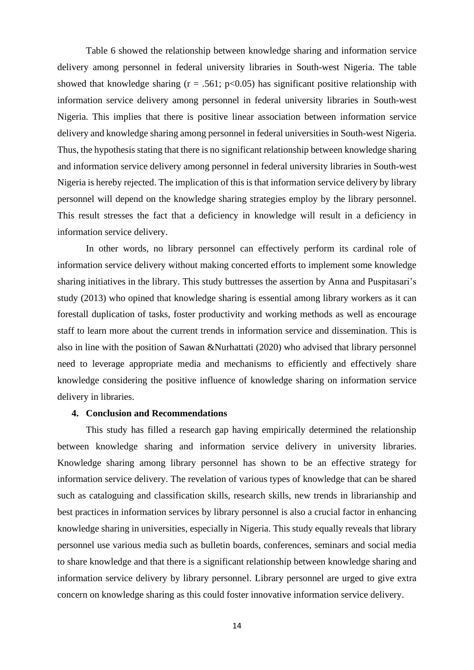Table 6 showed the relationship between knowledge sharing and information service delivery among personnel in federal university libraries in South-west Nigeria. The table showed that knowledge sharing ( $r = .561$ ;  $p < 0.05$ ) has significant positive relationship with information service delivery among personnel in federal university libraries in South-west Nigeria. This implies that there is positive linear association between information service delivery and knowledge sharing among personnel in federal universities in South-west Nigeria. Thus, the hypothesis stating that there is no significant relationship between knowledge sharing and information service delivery among personnel in federal university libraries in South-west Nigeria is hereby rejected. The implication of this is that information service delivery by library personnel will depend on the knowledge sharing strategies employ by the library personnel. This result stresses the fact that a deficiency in knowledge will result in a deficiency in information service delivery.

In other words, no library personnel can effectively perform its cardinal role of information service delivery without making concerted efforts to implement some knowledge sharing initiatives in the library. This study buttresses the assertion by Anna and Puspitasari's study (2013) who opined that knowledge sharing is essential among library workers as it can forestall duplication of tasks, foster productivity and working methods as well as encourage staff to learn more about the current trends in information service and dissemination. This is also in line with the position of Sawan &Nurhattati (2020) who advised that library personnel need to leverage appropriate media and mechanisms to efficiently and effectively share knowledge considering the positive influence of knowledge sharing on information service delivery in libraries.

## **4. Conclusion and Recommendations**

This study has filled a research gap having empirically determined the relationship between knowledge sharing and information service delivery in university libraries. Knowledge sharing among library personnel has shown to be an effective strategy for information service delivery. The revelation of various types of knowledge that can be shared such as cataloguing and classification skills, research skills, new trends in librarianship and best practices in information services by library personnel is also a crucial factor in enhancing knowledge sharing in universities, especially in Nigeria. This study equally reveals that library personnel use various media such as bulletin boards, conferences, seminars and social media to share knowledge and that there is a significant relationship between knowledge sharing and information service delivery by library personnel. Library personnel are urged to give extra concern on knowledge sharing as this could foster innovative information service delivery.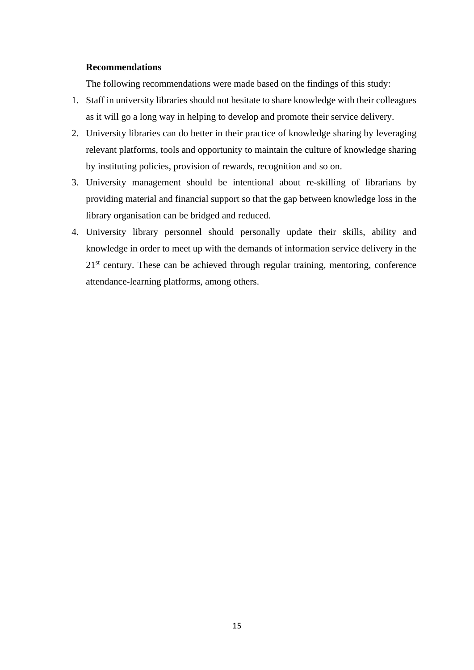#### **Recommendations**

The following recommendations were made based on the findings of this study:

- 1. Staff in university libraries should not hesitate to share knowledge with their colleagues as it will go a long way in helping to develop and promote their service delivery.
- 2. University libraries can do better in their practice of knowledge sharing by leveraging relevant platforms, tools and opportunity to maintain the culture of knowledge sharing by instituting policies, provision of rewards, recognition and so on.
- 3. University management should be intentional about re-skilling of librarians by providing material and financial support so that the gap between knowledge loss in the library organisation can be bridged and reduced.
- 4. University library personnel should personally update their skills, ability and knowledge in order to meet up with the demands of information service delivery in the  $21<sup>st</sup>$  century. These can be achieved through regular training, mentoring, conference attendance-learning platforms, among others.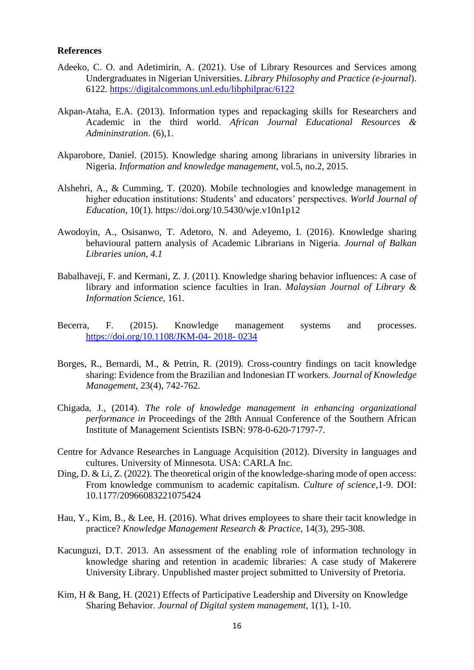#### **References**

- Adeeko, C. O. and Adetimirin, A. (2021). Use of Library Resources and Services among Undergraduates in Nigerian Universities. *Library Philosophy and Practice (e-journal*). 6122.<https://digitalcommons.unl.edu/libphilprac/6122>
- Akpan-Ataha, E.A. (2013). Information types and repackaging skills for Researchers and Academic in the third world. *African Journal Educational Resources & Admininstration*. (6),1.
- Akparobore, Daniel. (2015). Knowledge sharing among librarians in university libraries in Nigeria. *Information and knowledge management*, vol.5, no.2, 2015.
- Alshehri, A., & Cumming, T. (2020). Mobile technologies and knowledge management in higher education institutions: Students' and educators' perspectives. *World Journal of Education,* 10(1). https://doi.org/10.5430/wje.v10n1p12
- Awodoyin, A., Osisanwo, T. Adetoro, N. and Adeyemo, I. (2016). Knowledge sharing behavioural pattern analysis of Academic Librarians in Nigeria. *Journal of Balkan Libraries union, 4.1*
- Babalhaveji, F. and Kermani, Z. J. (2011). Knowledge sharing behavior influences: A case of library and information science faculties in Iran. *Malaysian Journal of Library & Information Science,* 161.
- Becerra, F. (2015). Knowledge management systems and processes. [https://doi.org/10.1108/JKM-04-](https://doi.org/10.1108/JKM-04-%202018-%200234) 2018- 0234
- Borges, R., Bernardi, M., & Petrin, R. (2019). Cross-country findings on tacit knowledge sharing: Evidence from the Brazilian and Indonesian IT workers. *Journal of Knowledge Management*, 23(4), 742-762.
- Chigada, J., (2014). *The role of knowledge management in enhancing organizational performance in* Proceedings of the 28th Annual Conference of the Southern African Institute of Management Scientists ISBN: 978-0-620-71797-7*.*
- Centre for Advance Researches in Language Acquisition (2012). Diversity in languages and cultures. University of Minnesota. USA: CARLA Inc.
- Ding, D. & Li, Z. (2022). The theoretical origin of the knowledge-sharing mode of open access: From knowledge communism to academic capitalism. *Culture of science*,1-9. DOI: 10.1177/20966083221075424
- Hau, Y., Kim, B., & Lee, H. (2016). What drives employees to share their tacit knowledge in practice? *Knowledge Management Research & Practice,* 14(3), 295-308.
- Kacunguzi, D.T. 2013. An assessment of the enabling role of information technology in knowledge sharing and retention in academic libraries: A case study of Makerere University Library. Unpublished master project submitted to University of Pretoria.
- Kim, H & Bang, H. (2021) Effects of Participative Leadership and Diversity on Knowledge Sharing Behavior. *Journal of Digital system management*, 1(1), 1-10.